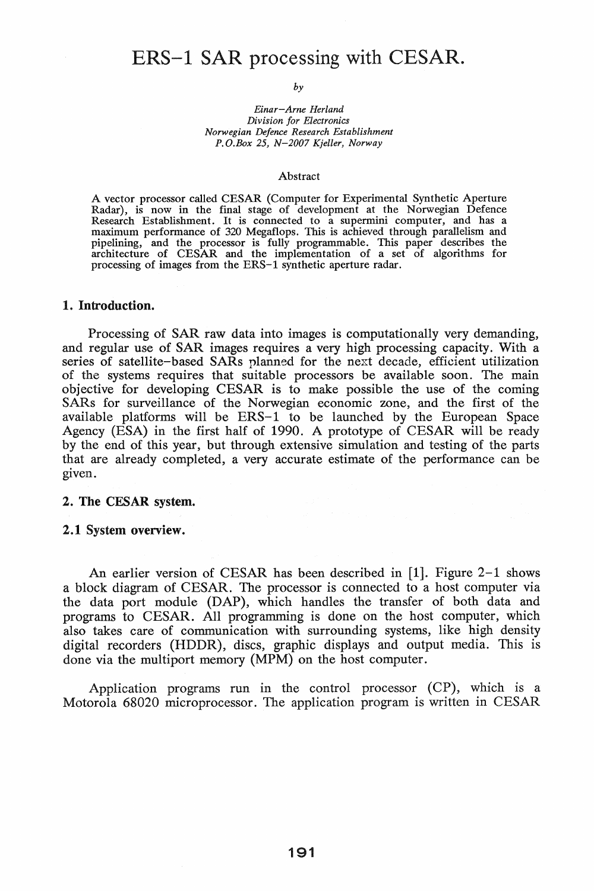# ERS-l SAR processing with CESAR.

*by* 

*Einar-Arne Herland Division for Electronics Norwegian Defence Research Establishment P.O.Box* 25, *N-2007 Kjeller, Norway* 

#### Abstract

A vector processor called CESAR (Computer for Experimental Synthetic Aperture Radar), is now in the final stage of development at the Norwegian Defence Research Establishment. It is connected to a supermini computer, and has a maximum performance of 320 Megaflops. This is achieved through parallelism and pipelining, and the processor is fully programmable. This paper describes the architecture of CESAR and the implementation of a set of algorithms for processing of images from the ERS-l synthetic aperture radar.

## 1. Introduction.

Processing of SAR raw data into images is computationally very demanding, and regular use of SAR images requires a very high processing capacity. With a series of satellite-based SARs planned for the next decade, efficient utilization of the systems requires that suitable processors be available soon. The main objective for developing CESAR is to make possible the use of the coming SARs for surveillance of the Norwegian economic zone, and the first of the available platforms will be ERS-1 to be launched by the European Space Agency (ESA) in the first half of 1990. A prototype of CESAR will be ready by the end of this year, but through extensive simulation and testing of the parts that are already completed, a very accurate estimate of the performance can be given.

## 2. The CESAR system.

#### 2.1 System overview.

An earlier version of CESAR has been described in [1]. Figure 2-1 shows a block diagram of CESAR. The processor is connected to a host computer via the data port module (DAP), which handles the transfer of both data and programs to CESAR. All programming is done on the host computer, which also takes care of communication with surrounding systems, like high density digital recorders (HDDR), discs, graphic displays and output media. This is done via the multiport memory (MPM) on the host computer.

Application programs run in the control processor (CP), which is a Motorola 68020 microprocessor. The application program is written in CESAR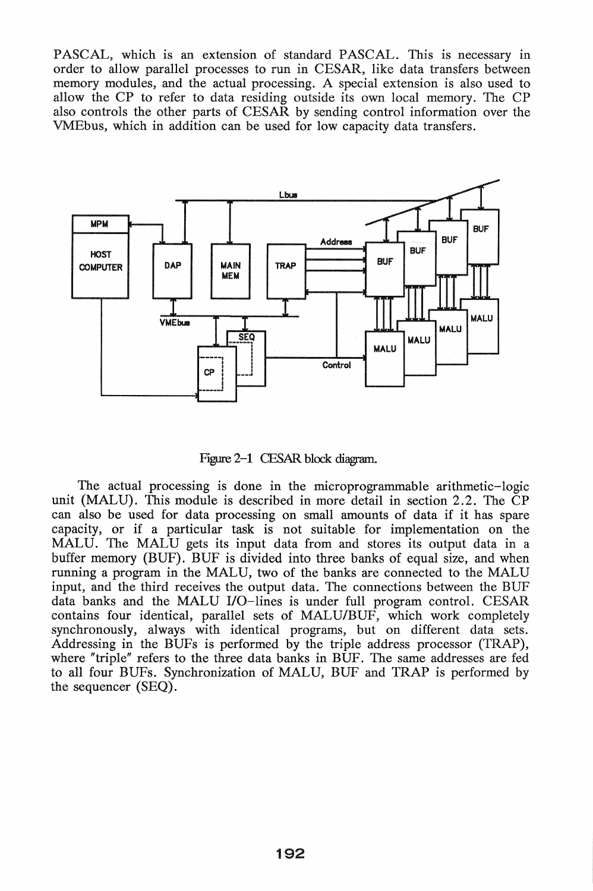PASCAL, which is an extension of standard PASCAL. This is necessary in order to allow parallel processes to run in CESAR, like data transfers between memory modules, and the actual processing. A special extension is also used to allow the CP to refer to data residing outside its own local memory. The CP also controls the other parts of CESAR by sending control information over the VMEbus, which in addition can be used for low capacity data transfers.



Figure 2-1 CESAR block diagram.

The actual processing is done in the microprogrammable arithmetic-logic unit (MALU). This module is described in more detail in section  $2.2$ . The CP can also be used for data processing on small amounts of data if it has spare capacity, or if a particular task is not suitable for implementation on the MALU. The MALU gets its input data from and stores its output data in a buffer memory (BUF). BUF is divided into three banks of equal size, and when running a program in the MALU, two of the banks are connected to the MALU input, and the third receives the output data. The connections between the BUF data banks and the MALU I/O-lines is under full program control. CESAR contains four identical, parallel sets of MALU/BUF, which work completely synchronously, always with identical programs, but on different data sets. Addressing in the BUFs is performed by the triple address processor (TRAP), where "triple" refers to the three data banks in BUF. The same addresses are fed to all four BUFs. Synchronization of MALU, BUF and TRAP is performed by the sequencer (SEQ).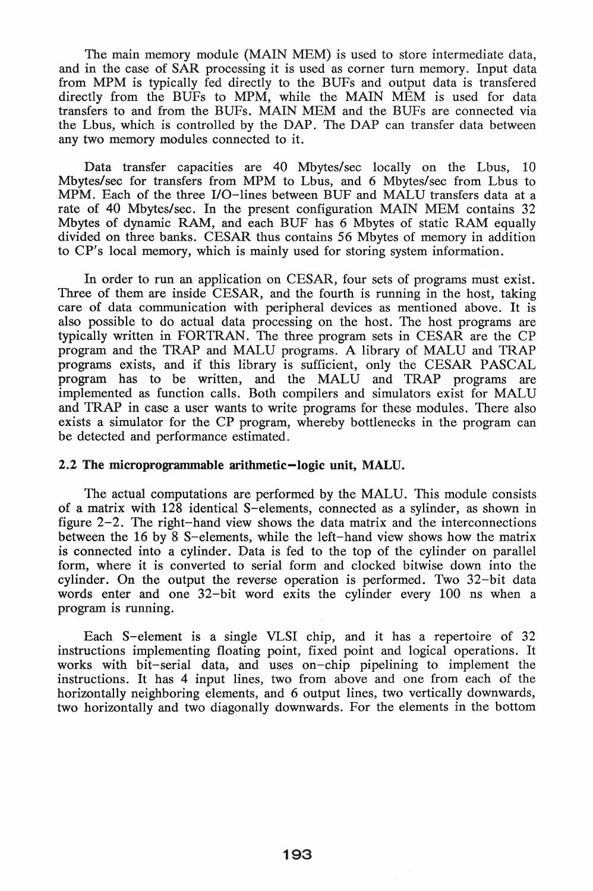The main memory module (MAIN MEM) is used to store intermediate data, and in the case of SAR processing it is used as corner turn memory. Input data from MPM is typically fed directly to the BUFs and output data is transfered directly from the BUFs to MPM, while the MAIN MEM is used for data transfers to and from the BUFs. MAIN MEM and the BUFs are connected via the Lbus, which is controlled by the DAP. The DAP can transfer data between any two memory modules connected to it.

Data transfer capacities are 40 Mbytes/sec locally on the Lbus, 10 Mbytes/sec for transfers from MPM to Lbus, and 6 Mbytes/sec from Lbus to MPM. Each of the three I/O-lines between BUF and MALU transfers data at a rate of 40 Mbytes/sec. In the present configuration MAIN MEM contains 32 Mbytes of dynamic RAM, and each BUF has 6 Mbytes of static RAM equally divided on three banks. CESAR thus contains 56 Mbytes of memory in addition to CP's local memory, which is mainly used for storing system information.

In order to run an application on CESAR, four sets of programs must exist. Three of them are inside CESAR, and the fourth is running in the host, taking care of data communication with peripheral devices as mentioned above. It is also possible to do actual data processing on the host. The host programs are typically written in FORTRAN. The three program sets in CESAR are the CP program and the TRAP and MALU programs. A library of MALU and TRAP programs exists, and if this library is sufficient, only the CESAR PASCAL program has to be written, and the MALU and TRAP programs are implemented as function calls. Both compilers and simulators exist for MALU and TRAP in case a user wants to write programs for these modules. There also exists a simulator for the CP program, whereby bottlenecks in the program can be detected and performance estimated.

# 2.2 The microprogrammable arithmetic-logic unit, MALU.

The actual computations are performed by the MALU. This module consists of a matrix with 128 identical S-elements, connected as a sylinder, as shown in figure 2-2. The right-hand view shows the data matrix and the interconnections between the 16 by 8 S-elements, while the left-hand view shows how the matrix is connected into a cylinder. Data is fed to the top of the cylinder on parallel form, where it is converted to serial form and clocked bitwise down into the cylinder. On the output the reverse operation is performed. Two 32-bit data words enter and one 32-bit word exits the cylinder every 100 ns when a program is running.

Each S-element is a single VLSI chip, and it has a repertoire of 32 instructions implementing floating point, fixed point and logical operations. It works with bit-serial data, and uses on-chip pipelining to implement the instructions. It has 4 input lines, two from above and one from each of the horizontally neighboring elements, and 6 output lines, two vertically downwards, two horizontally and two diagonally downwards. For the elements in the bottom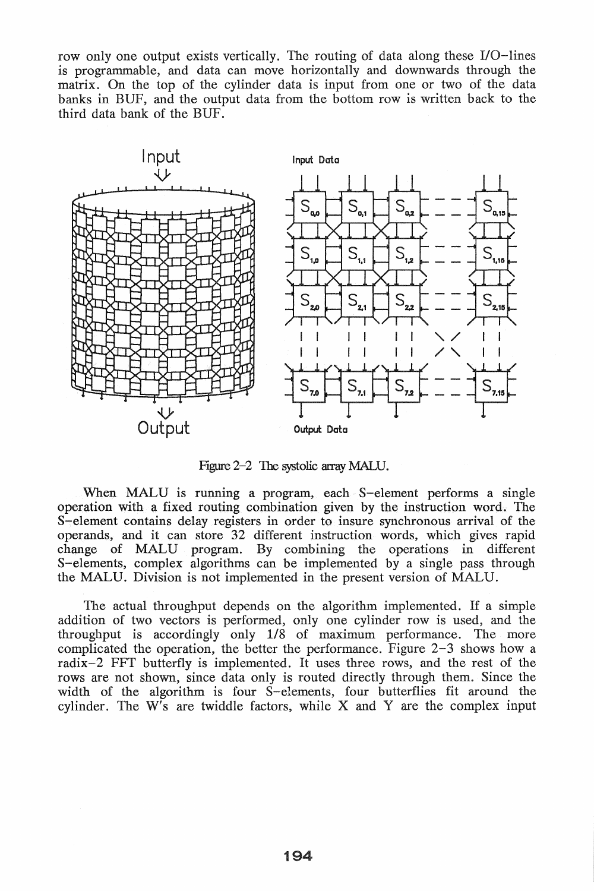row only one output exists vertically. The routing of data along these I/O-lines is programmable, and data can move horizontally and downwards through the matrix. On the top of the cylinder data is input from one or two of the data banks in BUF, and the output data from the bottom row is written back to the third data bank of the BUF.



Figure 2-2 The systolic array MALU.

When MALU is running a program, each S-element performs a single operation with a fixed routing combination given by the instruction word. The S-element contains delay registers in order to insure synchronous arrival of the operands, and it can store 32 different instruction words, which gives rapid change of MALU program. By combining the operations in different S-elements, complex algorithms can be implemented by a single pass through the MALU. Division is not implemented in the present version of MALU.

The actual throughput depends on the algorithm implemented. If a simple addition of two vectors is performed, only one cylinder row is used, and the throughput is accordingly only *1/8* of maximum performance. The more complicated the operation, the better the performance. Figure 2-3 shows how a radix-2 FFT butterfly is implemented. It uses three rows, and the rest of the rows are not shown, since data only is routed directly through them. Since the width of the algorithm is four S-elements, four butterflies fit around the cylinder. The  $W'$ s are twiddle factors, while X and Y are the complex input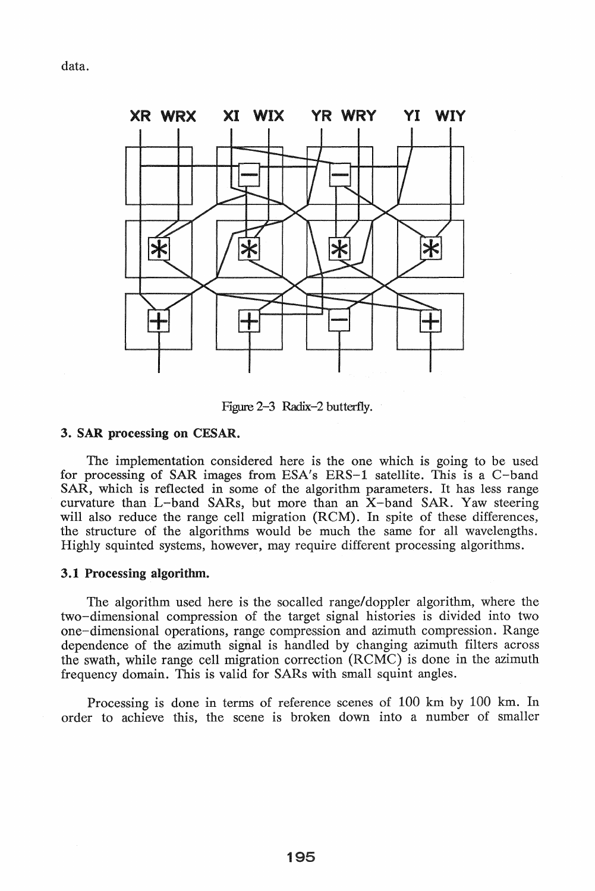data.



Figure 2-3 Radix-2 butterfly.

## 3. SAR processing on CESAR.

The implementation considered here is the one which is going to be used for processing of SAR images from ESA's ERS-l satellite. This is a C-band SAR, which is reflected in some of the algorithm parameters. It has less range curvature than L-band SARs, but more than an X-band SAR. Yaw steering will also reduce the range cell migration (RCM). In spite of these differences, the structure of the algorithms would be much the same for all wavelengths. Highly squinted systems, however, may require different processing algorithms.

#### 3.1 Processing algorithm.

The algorithm used here is the socalled range/doppler algorithm, where the two-dimensional compression of the target signal histories is divided into two one-dimensional operations, range compression and azimuth compression. Range dependence of the azimuth signal is handled by changing azimuth filters across the swath, while range cell migration correction (RCMC) is done in the azimuth frequency domain. This is valid for SARs with small squint angles.

Processing is done in terms of reference scenes of 100 km by 100 km. In order to achieve this, the scene is broken down into a number of smaller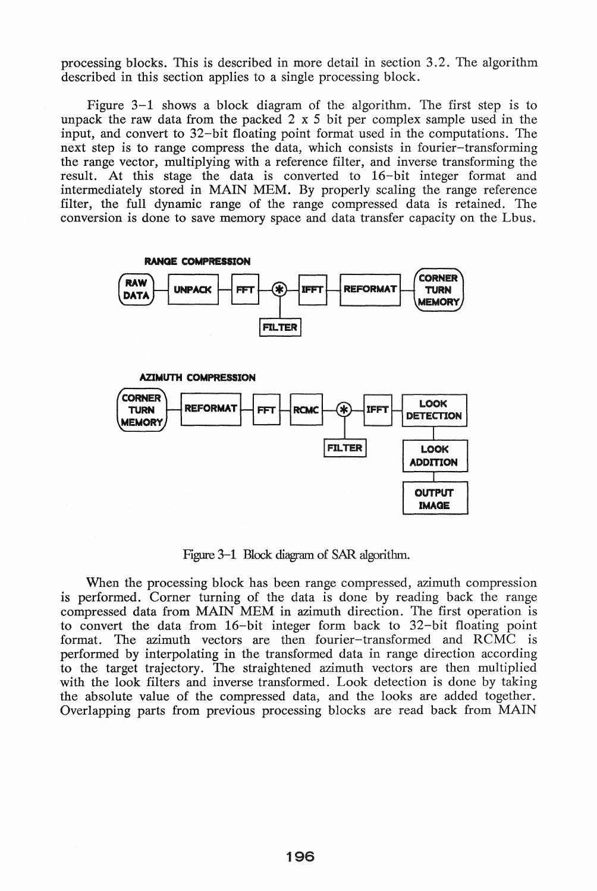processing blocks. This is described in more detail in section 3.2. The algorithm described in this section applies to a single processing block.

Figure 3-1 shows a block diagram of the algorithm. The first step is to unpack the raw data from the packed 2 x 5 bit per complex sample used in the input, and convert to 32-bit floating point format used in the computations. The next step is to range compress the data, which consists in fourier-transforming the range vector, mUltiplying with a reference filter, and inverse transforming the result. At this stage the data is converted to 16-bit integer format and intermediately stored in MAIN MEM. By properly scaling the range reference filter, the full dynamic range of the range compressed data is retained. The conversion is done to save memory space and data transfer capacity on the Lbus.



Figure 3-1 Block diagram of SAR algorithm.

When the processing block has been range compressed, azimuth compression is performed. Corner turning of the data is done by reading back the range compressed data from MAIN MEM in azimuth direction. The first operation is to convert the data from 16-bit integer form back to 32-bit floating point format. The azimuth vectors are then fourier-transformed and RCMC is performed by interpolating in the transformed data in range direction according to the target trajectory. The straightened azimuth vectors are then multiplied with the look filters and inverse transformed. Look detection is done by taking the absolute value of the compressed data, and the looks are added together. Overlapping parts from previous processing blocks are read back from MAIN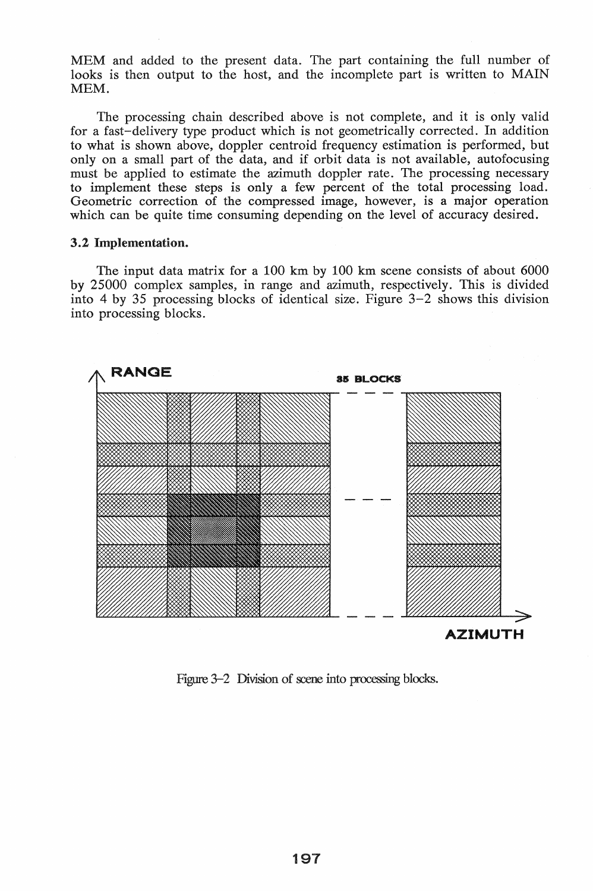MEM and added to the present data. The part containing the full number of looks is then output to the host, and the incomplete part is written to MAIN MEM.

The processing chain described above is not complete, and it is only valid for a fast-delivery type product which is not geometrically corrected. In addition to what is shown above, doppler centroid frequency estimation is performed, but only on a small part of the data, and if orbit data is not available, autofocusing must be applied to estimate the azimuth doppler rate. The processing necessary to implement these steps is only a few percent of the total processing load. Geometric correction of the compressed image, however, is a major operation which can be quite time consuming depending on the level of accuracy desired.

## 3.2 Implementation.

The input data matrix for a 100 km by 100 km scene consists of about 6000 by 25000 complex samples, in range and azimuth, respectively. This is divided into 4 by 35 processing blocks of identical size. Figure 3-2 shows this division into processing blocks.



Figure 3-2 Division of scene into processing blocks.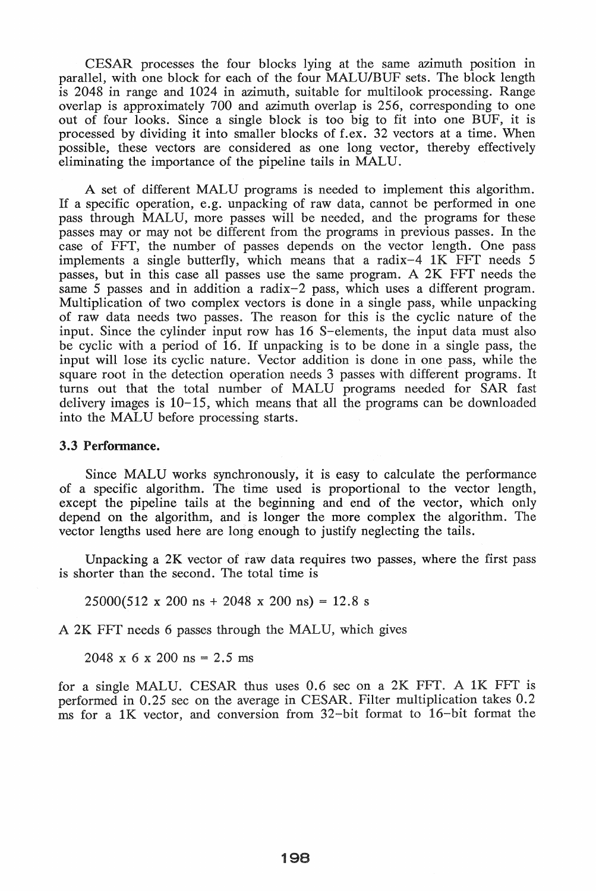CESAR processes the four blocks lying at the same azimuth position in parallel, with one block for each of the four MALU/BUF sets. The block length is 2048 in range and 1024 in azimuth, suitable for multilook processing. Range overlap is approximately 700 and azimuth overlap is 256, corresponding to one out of four looks. Since a single block is too big to fit into one BUF, it is processed by dividing it into smaller blocks of f.ex. 32 vectors at a time. When possible, these vectors are considered as one long vector, thereby effectively eliminating the importance of the pipeline tails in MALU.

A set of different MALU programs is needed to implement this algorithm. If a specific operation, e.g. unpacking of raw data, cannot be performed in one pass through MALU, more passes will be needed, and the programs for these passes may or may not be different from the programs in previous passes. In the case of FFT, the number of passes depends on the vector length. One pass implements a single butterfly, which means that a radix-4 lK FFf needs 5 passes, but in this case all passes use the same program. A 2K FFf needs the same 5 passes and in addition a radix-2 pass, which uses a different program. Multiplication of two complex vectors is done in a single pass, while unpacking of raw data needs two passes. The reason for this is the cyclic nature of the input. Since the cylinder input row has 16 S-elements, the input data must also be cyclic with a period of 16. If unpacking is to be done in a single pass, the input will lose its cyclic nature. Vector addition is done in one pass, while the square root in the detection operation needs 3 passes with different programs. It turns out that the total number of MALU programs needed for SAR fast delivery images is 10-15, which means that all the programs can be downloaded into the MALU before processing starts.

## 3.3 Perfonnance.

Since MALU works synchronously, it is easy to calculate the performance of a specific algorithm. The time used is proportional to the vector length, except the pipeline tails at the beginning and end of the vector, which only depend on the algorithm, and is longer the more complex the algorithm. The vector lengths used here are long enough to justify neglecting the tails.

Unpacking a 2K vector of raw data requires two passes, where the first pass is shorter than the second. The total time is

 $25000(512 \times 200 \text{ ns} + 2048 \times 200 \text{ ns}) = 12.8 \text{ s}$ 

A 2K FFf needs 6 passes through the MALU, which gives

 $2048 \times 6 \times 200 \text{ ns} = 2.5 \text{ ms}$ 

for a single MALU. CESAR thus uses 0.6 sec on a 2K FFT. A 1K FFT is performed in 0.25 sec on the average in CESAR. Filter multiplication takes 0.2 ms for a 1K vector, and conversion from  $32$ -bit format to 16-bit format the